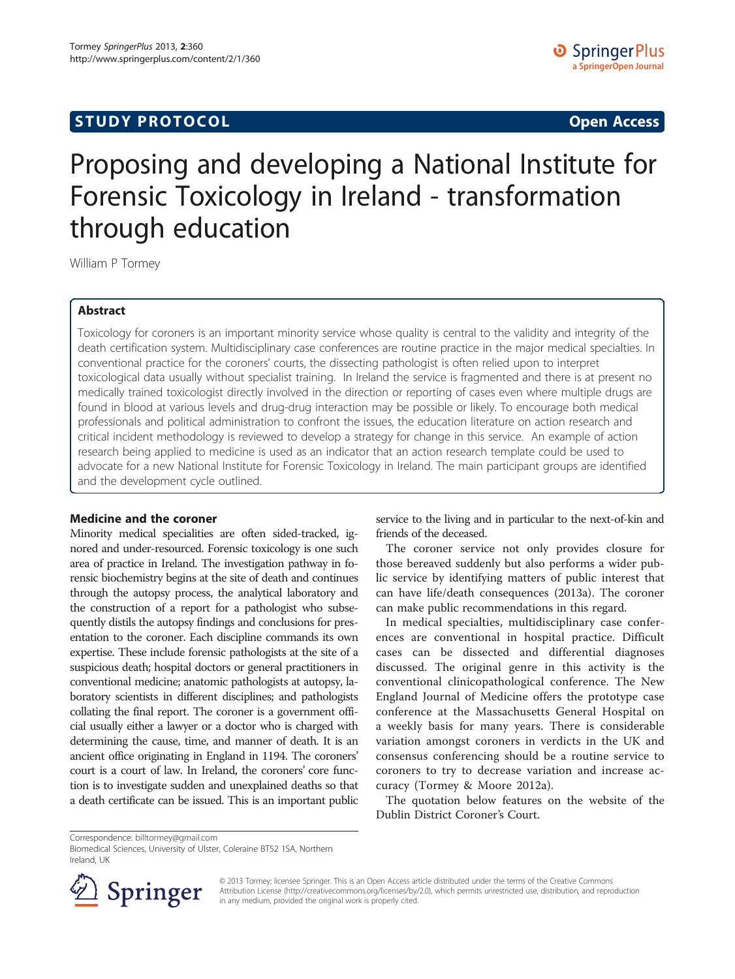## **STUDY PROTOCOL CONSUMING THE CONSUMING THE CONSUMING TEAM CONSUMING THE CONSUMING TEAM CONSUMING THE CONSUMING TEAM**

# Proposing and developing a National Institute for Forensic Toxicology in Ireland - transformation through education

William P Tormey

## Abstract

Toxicology for coroners is an important minority service whose quality is central to the validity and integrity of the death certification system. Multidisciplinary case conferences are routine practice in the major medical specialties. In conventional practice for the coroners' courts, the dissecting pathologist is often relied upon to interpret toxicological data usually without specialist training. In Ireland the service is fragmented and there is at present no medically trained toxicologist directly involved in the direction or reporting of cases even where multiple drugs are found in blood at various levels and drug-drug interaction may be possible or likely. To encourage both medical professionals and political administration to confront the issues, the education literature on action research and critical incident methodology is reviewed to develop a strategy for change in this service. An example of action research being applied to medicine is used as an indicator that an action research template could be used to advocate for a new National Institute for Forensic Toxicology in Ireland. The main participant groups are identified and the development cycle outlined.

## Medicine and the coroner

Minority medical specialities are often sided-tracked, ignored and under-resourced. Forensic toxicology is one such area of practice in Ireland. The investigation pathway in forensic biochemistry begins at the site of death and continues through the autopsy process, the analytical laboratory and the construction of a report for a pathologist who subsequently distils the autopsy findings and conclusions for presentation to the coroner. Each discipline commands its own expertise. These include forensic pathologists at the site of a suspicious death; hospital doctors or general practitioners in conventional medicine; anatomic pathologists at autopsy, laboratory scientists in different disciplines; and pathologists collating the final report. The coroner is a government official usually either a lawyer or a doctor who is charged with determining the cause, time, and manner of death. It is an ancient office originating in England in 1194. The coroners' court is a court of law. In Ireland, the coroners' core function is to investigate sudden and unexplained deaths so that a death certificate can be issued. This is an important public

service to the living and in particular to the next-of-kin and friends of the deceased.

The coroner service not only provides closure for those bereaved suddenly but also performs a wider public service by identifying matters of public interest that can have life/death consequences [\(2013](#page-3-0)a). The coroner can make public recommendations in this regard.

In medical specialties, multidisciplinary case conferences are conventional in hospital practice. Difficult cases can be dissected and differential diagnoses discussed. The original genre in this activity is the conventional clinicopathological conference. The New England Journal of Medicine offers the prototype case conference at the Massachusetts General Hospital on a weekly basis for many years. There is considerable variation amongst coroners in verdicts in the UK and consensus conferencing should be a routine service to coroners to try to decrease variation and increase accuracy (Tormey & Moore [2012a](#page-3-0)).

The quotation below features on the website of the Dublin District Coroner's Court.

Correspondence: [billtormey@gmail.com](mailto:billtormey@gmail.com)

Biomedical Sciences, University of Ulster, Coleraine BT52 1SA, Northern Ireland, UK



© 2013 Tormey; licensee Springer. This is an Open Access article distributed under the terms of the Creative Commons Attribution License [\(http://creativecommons.org/licenses/by/2.0\)](http://creativecommons.org/licenses/by/2.0), which permits unrestricted use, distribution, and reproduction in any medium, provided the original work is properly cited.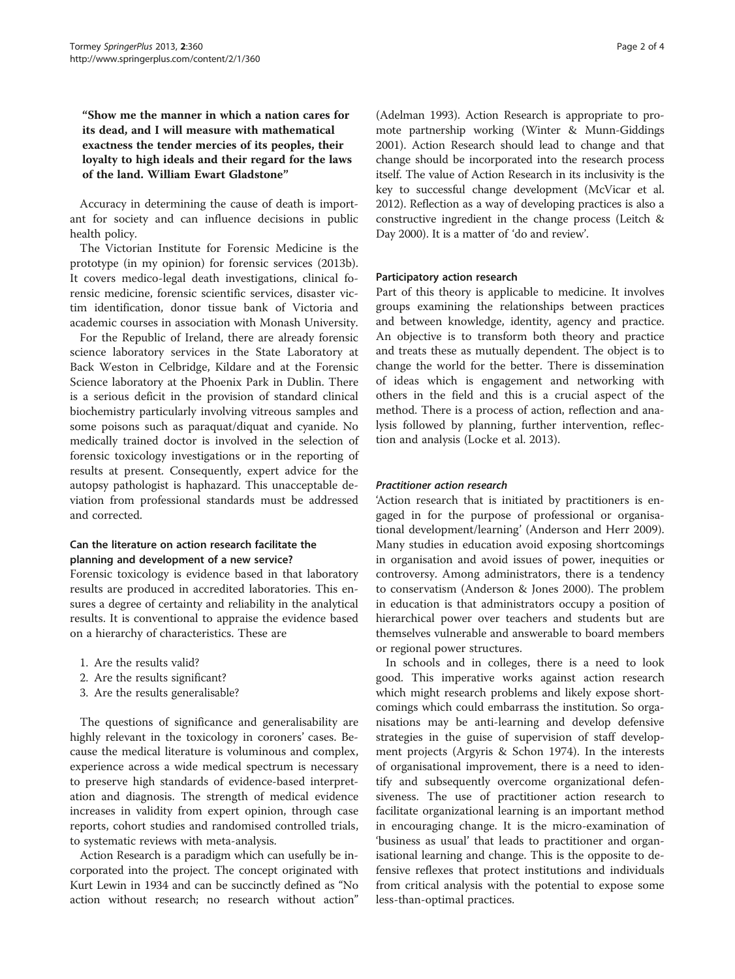"Show me the manner in which a nation cares for its dead, and I will measure with mathematical exactness the tender mercies of its peoples, their loyalty to high ideals and their regard for the laws of the land. William Ewart Gladstone"

Accuracy in determining the cause of death is important for society and can influence decisions in public health policy.

The Victorian Institute for Forensic Medicine is the prototype (in my opinion) for forensic services ([2013](#page-3-0)b). It covers medico-legal death investigations, clinical forensic medicine, forensic scientific services, disaster victim identification, donor tissue bank of Victoria and academic courses in association with Monash University.

For the Republic of Ireland, there are already forensic science laboratory services in the State Laboratory at Back Weston in Celbridge, Kildare and at the Forensic Science laboratory at the Phoenix Park in Dublin. There is a serious deficit in the provision of standard clinical biochemistry particularly involving vitreous samples and some poisons such as paraquat/diquat and cyanide. No medically trained doctor is involved in the selection of forensic toxicology investigations or in the reporting of results at present. Consequently, expert advice for the autopsy pathologist is haphazard. This unacceptable deviation from professional standards must be addressed and corrected.

#### Can the literature on action research facilitate the planning and development of a new service?

Forensic toxicology is evidence based in that laboratory results are produced in accredited laboratories. This ensures a degree of certainty and reliability in the analytical results. It is conventional to appraise the evidence based on a hierarchy of characteristics. These are

- 1. Are the results valid?
- 2. Are the results significant?
- 3. Are the results generalisable?

The questions of significance and generalisability are highly relevant in the toxicology in coroners' cases. Because the medical literature is voluminous and complex, experience across a wide medical spectrum is necessary to preserve high standards of evidence-based interpretation and diagnosis. The strength of medical evidence increases in validity from expert opinion, through case reports, cohort studies and randomised controlled trials, to systematic reviews with meta-analysis.

Action Research is a paradigm which can usefully be incorporated into the project. The concept originated with Kurt Lewin in 1934 and can be succinctly defined as "No action without research; no research without action"

(Adelman [1993\)](#page-3-0). Action Research is appropriate to promote partnership working (Winter & Munn-Giddings [2001](#page-3-0)). Action Research should lead to change and that change should be incorporated into the research process itself. The value of Action Research in its inclusivity is the key to successful change development (McVicar et al. [2012](#page-3-0)). Reflection as a way of developing practices is also a constructive ingredient in the change process (Leitch & Day [2000](#page-3-0)). It is a matter of 'do and review'.

#### Participatory action research

Part of this theory is applicable to medicine. It involves groups examining the relationships between practices and between knowledge, identity, agency and practice. An objective is to transform both theory and practice and treats these as mutually dependent. The object is to change the world for the better. There is dissemination of ideas which is engagement and networking with others in the field and this is a crucial aspect of the method. There is a process of action, reflection and analysis followed by planning, further intervention, reflection and analysis (Locke et al. [2013\)](#page-3-0).

#### Practitioner action research

'Action research that is initiated by practitioners is engaged in for the purpose of professional or organisational development/learning' (Anderson and Herr [2009](#page-3-0)). Many studies in education avoid exposing shortcomings in organisation and avoid issues of power, inequities or controversy. Among administrators, there is a tendency to conservatism (Anderson & Jones [2000\)](#page-3-0). The problem in education is that administrators occupy a position of hierarchical power over teachers and students but are themselves vulnerable and answerable to board members or regional power structures.

In schools and in colleges, there is a need to look good. This imperative works against action research which might research problems and likely expose shortcomings which could embarrass the institution. So organisations may be anti-learning and develop defensive strategies in the guise of supervision of staff development projects (Argyris & Schon [1974\)](#page-3-0). In the interests of organisational improvement, there is a need to identify and subsequently overcome organizational defensiveness. The use of practitioner action research to facilitate organizational learning is an important method in encouraging change. It is the micro-examination of 'business as usual' that leads to practitioner and organisational learning and change. This is the opposite to defensive reflexes that protect institutions and individuals from critical analysis with the potential to expose some less-than-optimal practices.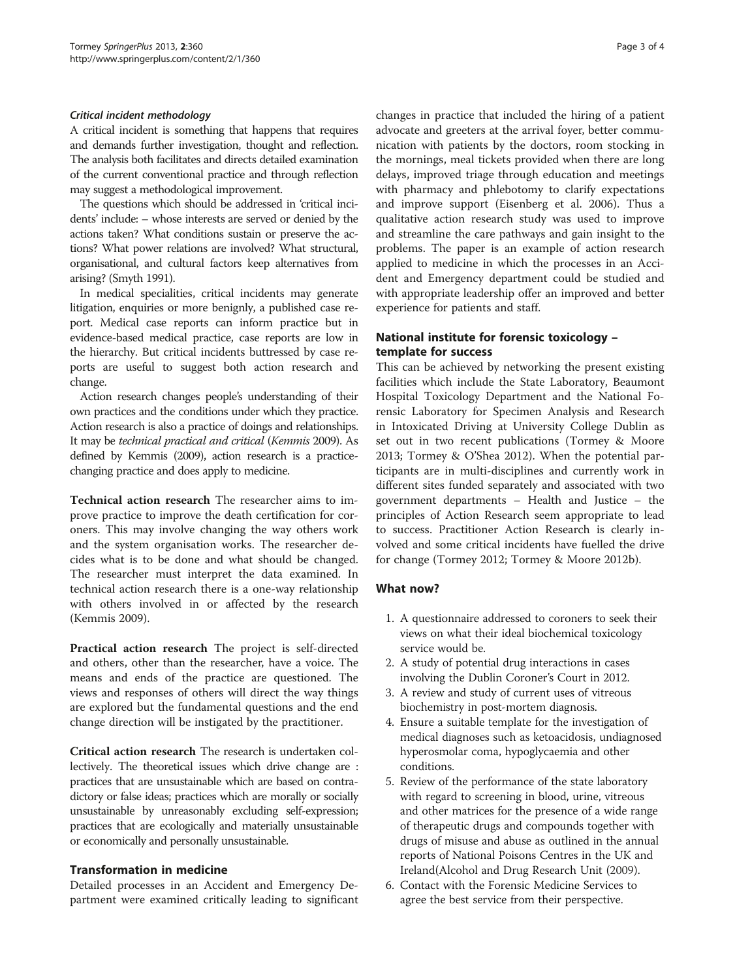#### Critical incident methodology

A critical incident is something that happens that requires and demands further investigation, thought and reflection. The analysis both facilitates and directs detailed examination of the current conventional practice and through reflection may suggest a methodological improvement.

The questions which should be addressed in 'critical incidents' include: – whose interests are served or denied by the actions taken? What conditions sustain or preserve the actions? What power relations are involved? What structural, organisational, and cultural factors keep alternatives from arising? (Smyth [1991](#page-3-0)).

In medical specialities, critical incidents may generate litigation, enquiries or more benignly, a published case report. Medical case reports can inform practice but in evidence-based medical practice, case reports are low in the hierarchy. But critical incidents buttressed by case reports are useful to suggest both action research and change.

Action research changes people's understanding of their own practices and the conditions under which they practice. Action research is also a practice of doings and relationships. It may be technical practical and critical (Kemmis [2009](#page-3-0)). As defined by Kemmis ([2009](#page-3-0)), action research is a practicechanging practice and does apply to medicine.

Technical action research The researcher aims to improve practice to improve the death certification for coroners. This may involve changing the way others work and the system organisation works. The researcher decides what is to be done and what should be changed. The researcher must interpret the data examined. In technical action research there is a one-way relationship with others involved in or affected by the research (Kemmis [2009](#page-3-0)).

Practical action research The project is self-directed and others, other than the researcher, have a voice. The means and ends of the practice are questioned. The views and responses of others will direct the way things are explored but the fundamental questions and the end change direction will be instigated by the practitioner.

Critical action research The research is undertaken collectively. The theoretical issues which drive change are : practices that are unsustainable which are based on contradictory or false ideas; practices which are morally or socially unsustainable by unreasonably excluding self-expression; practices that are ecologically and materially unsustainable or economically and personally unsustainable.

#### Transformation in medicine

Detailed processes in an Accident and Emergency Department were examined critically leading to significant changes in practice that included the hiring of a patient advocate and greeters at the arrival foyer, better communication with patients by the doctors, room stocking in the mornings, meal tickets provided when there are long delays, improved triage through education and meetings with pharmacy and phlebotomy to clarify expectations and improve support (Eisenberg et al. [2006\)](#page-3-0). Thus a qualitative action research study was used to improve and streamline the care pathways and gain insight to the problems. The paper is an example of action research applied to medicine in which the processes in an Accident and Emergency department could be studied and with appropriate leadership offer an improved and better experience for patients and staff.

## National institute for forensic toxicology – template for success

This can be achieved by networking the present existing facilities which include the State Laboratory, Beaumont Hospital Toxicology Department and the National Forensic Laboratory for Specimen Analysis and Research in Intoxicated Driving at University College Dublin as set out in two recent publications (Tormey & Moore [2013](#page-3-0); Tormey & O'Shea [2012](#page-3-0)). When the potential participants are in multi-disciplines and currently work in different sites funded separately and associated with two government departments – Health and Justice – the principles of Action Research seem appropriate to lead to success. Practitioner Action Research is clearly involved and some critical incidents have fuelled the drive for change (Tormey [2012](#page-3-0); Tormey & Moore [2012](#page-3-0)b).

#### What now?

- 1. A questionnaire addressed to coroners to seek their views on what their ideal biochemical toxicology service would be.
- 2. A study of potential drug interactions in cases involving the Dublin Coroner's Court in 2012.
- 3. A review and study of current uses of vitreous biochemistry in post-mortem diagnosis.
- 4. Ensure a suitable template for the investigation of medical diagnoses such as ketoacidosis, undiagnosed hyperosmolar coma, hypoglycaemia and other conditions.
- 5. Review of the performance of the state laboratory with regard to screening in blood, urine, vitreous and other matrices for the presence of a wide range of therapeutic drugs and compounds together with drugs of misuse and abuse as outlined in the annual reports of National Poisons Centres in the UK and Ireland(Alcohol and Drug Research Unit [\(2009\)](#page-3-0).
- 6. Contact with the Forensic Medicine Services to agree the best service from their perspective.